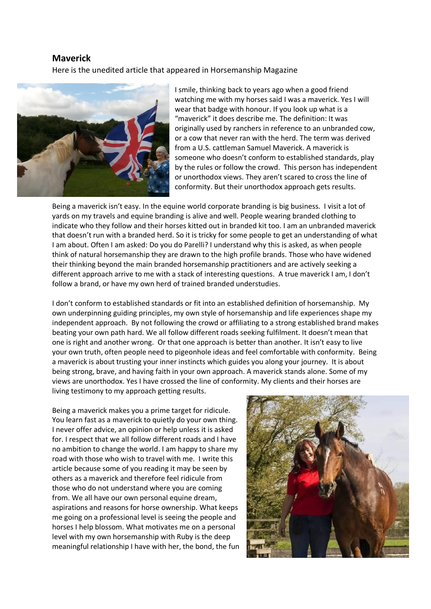## **Maverick** Here is the unedited article that appeared in Horsemanship Magazine



I smile, thinking back to years ago when a good friend watching me with my horses said I was a maverick. Yes I will wear that badge with honour. If you look up what is a "maverick" it does describe me. The definition: It was originally used by ranchers in reference to an unbranded cow, or a cow that never ran with the herd. The term was derived from a U.S. cattleman Samuel Maverick. A maverick is someone who doesn't conform to established standards, play by the rules or follow the crowd. This person has independent or unorthodox views. They aren't scared to cross the line of conformity. But their unorthodox approach gets results.

Being a maverick isn't easy. In the equine world corporate branding is big business. I visit a lot of yards on my travels and equine branding is alive and well. People wearing branded clothing to indicate who they follow and their horses kitted out in branded kit too. I am an unbranded maverick that doesn't run with a branded herd. So it is tricky for some people to get an understanding of what I am about. Often I am asked: Do you do Parelli? I understand why this is asked, as when people think of natural horsemanship they are drawn to the high profile brands. Those who have widened their thinking beyond the main branded horsemanship practitioners and are actively seeking a different approach arrive to me with a stack of interesting questions. A true maverick I am, I don't follow a brand, or have my own herd of trained branded understudies.

I don't conform to established standards or fit into an established definition of horsemanship. My own underpinning guiding principles, my own style of horsemanship and life experiences shape my independent approach. By not following the crowd or affiliating to a strong established brand makes beating your own path hard. We all follow different roads seeking fulfilment. It doesn't mean that one is right and another wrong. Or that one approach is better than another. It isn't easy to live your own truth, often people need to pigeonhole ideas and feel comfortable with conformity. Being a maverick is about trusting your inner instincts which guides you along your journey. It is about being strong, brave, and having faith in your own approach. A maverick stands alone. Some of my views are unorthodox. Yes I have crossed the line of conformity. My clients and their horses are living testimony to my approach getting results.

Being a maverick makes you a prime target for ridicule. You learn fast as a maverick to quietly do your own thing. I never offer advice, an opinion or help unless it is asked for. I respect that we all follow different roads and I have no ambition to change the world. I am happy to share my road with those who wish to travel with me. I write this article because some of you reading it may be seen by others as a maverick and therefore feel ridicule from those who do not understand where you are coming from. We all have our own personal equine dream, aspirations and reasons for horse ownership. What keeps me going on a professional level is seeing the people and horses I help blossom. What motivates me on a personal level with my own horsemanship with Ruby is the deep meaningful relationship I have with her, the bond, the fun